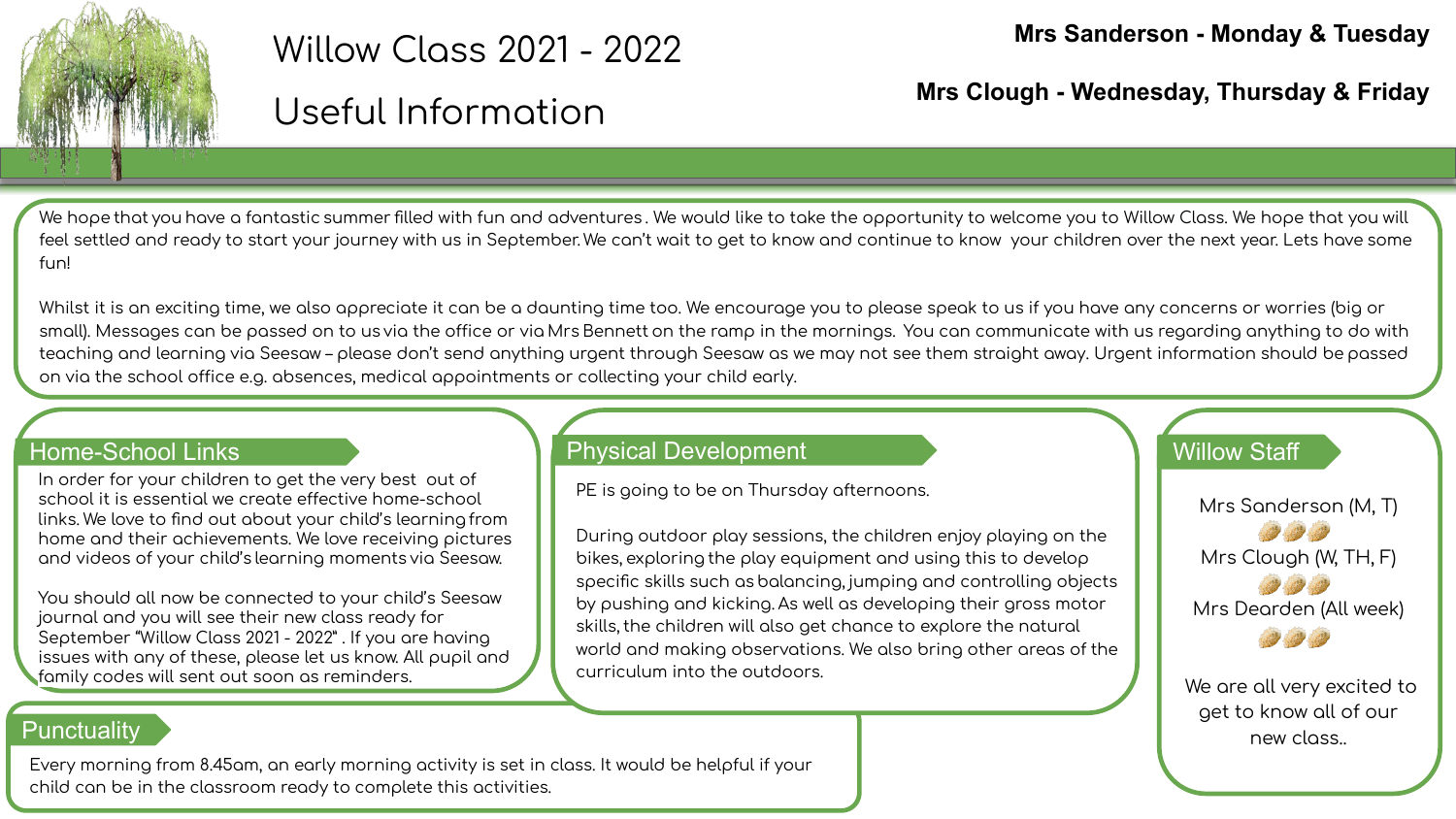

# Willow Class 2021 - 2022

# Useful Information

Mrs Clough - Wednesday, Thursday & Friday

We hope that you have a fantastic summer filled with fun and adventures. We would like to take the opportunity to welcome you to Willow Class. We hope that you will feel settled and ready to start your journey with us in September. We can't wait to get to know and continue to know your children over the next year. Lets have some  $f$ <sub>IID</sub>

Whilst it is an exciting time, we also appreciate it can be a daunting time too. We encourage you to please speak to us if you have any concerns or worries (big or small). Messages can be passed on to us via the office or via Mrs Bennett on the ramp in the mornings. You can communicate with us regarding anything to do with teaching and learning via Seesaw – please don't send anything urgent through Seesaw as we may not see them straight away. Urgent information should be passed on via the school office e.g. absences, medical appointments or collecting your child early.

#### **Home-School Links**

In order for your children to get the very best out of school it is essential we create effective home-school links. We love to find out about your child's learning from home and their achievements. We love receiving pictures and videos of your child's learning moments via Seesaw.

You should all now be connected to your child's Seesaw journal and you will see their new class ready for September "Willow Class 2021 - 2022" . If you are having issues with any of these, please let us know. All pupil and family codes will sent out soon as reminders.

#### **Physical Development**

PE is going to be on Thursday afternoons.

During outdoor play sessions, the children enjoy playing on the bikes, exploring the play equipment and using this to develop specific skills such as balancing, jumping and controlling objects by pushing and kicking. As well as developing their gross motor skills, the children will also get chance to explore the natural world and making observations. We also bring other areas of the curriculum into the outdoors.

**Willow Staff** 

Mrs Sanderson (M, T) Mrs Clough (W, TH, F) Mrs Dearden (All week)

We are all very excited to get to know all of our new closs.

# Punctuality

Every morning from 8.45am, an early morning activity is set in class. It would be helpful if your child can be in the classroom ready to complete this activities.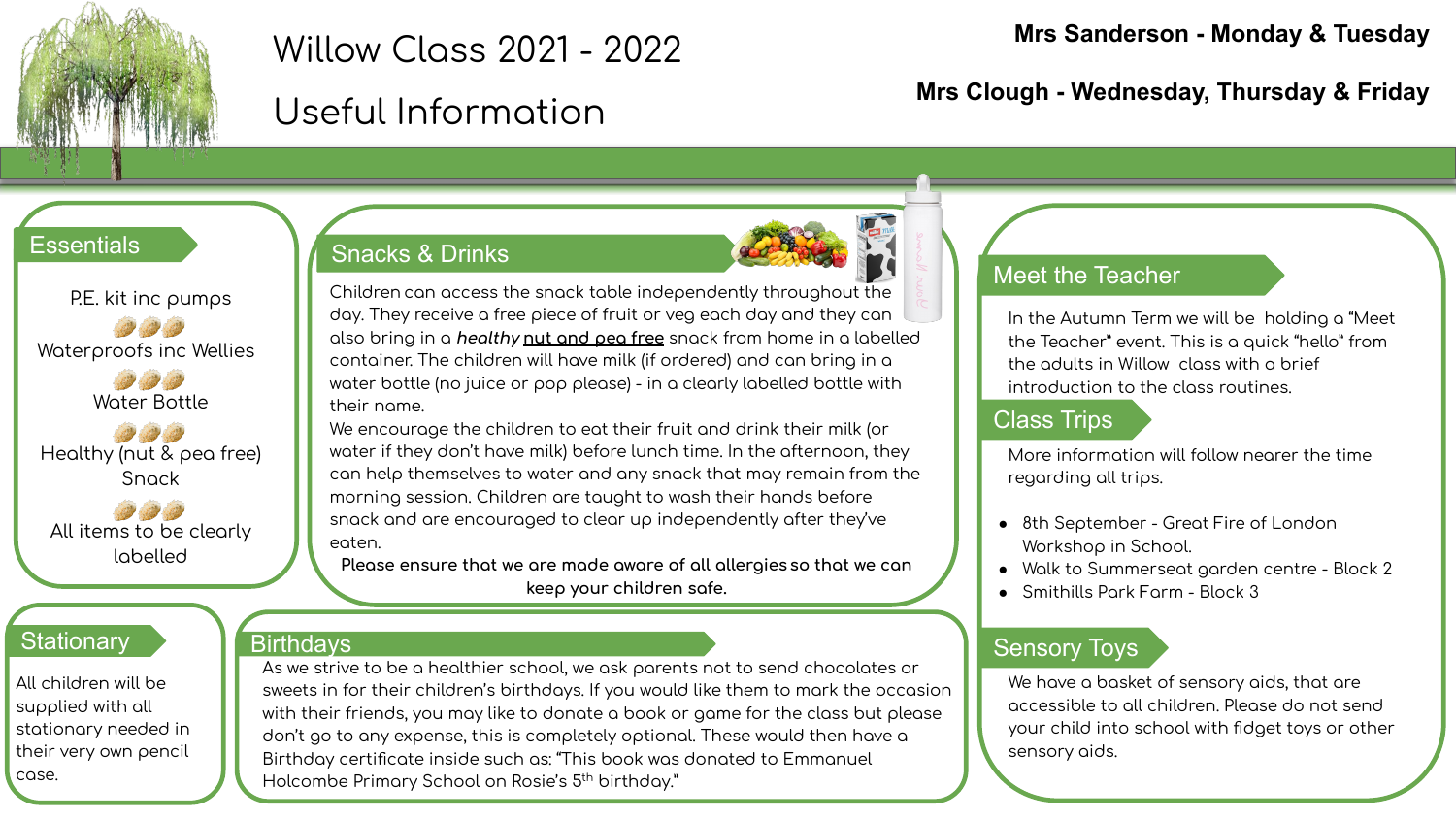

# Willow Class 2021 - 2022

# Useful Information

#### **Mrs Sanderson - Monday & Tuesday**

**Mrs Clough - Wednesday, Thursday & Friday**

#### **Essentials**

P.E. kit inc pumps Waterproofs inc Wellies

Water Bottle

Healthy (nut & pea free) Snack

All items to be clearly labelled

## **Stationary**

All children will be supplied with all stationary needed in their very own pencil case.

# Snacks & Drinks



Children can access the snack table independently throughout the day. They receive a free piece of fruit or veg each day and they can also bring in a *healthy* nut and pea free snack from home in a labelled container. The children will have milk (if ordered) and can bring in a water bottle (no juice or pop please) - in a clearly labelled bottle with their name.

We encourage the children to eat their fruit and drink their milk (or water if they don't have milk) before lunch time. In the afternoon, they can help themselves to water and any snack that may remain from the morning session. Children are taught to wash their hands before snack and are encouraged to clear up independently after they've eaten.

Please ensure that we are made aware of all allergies so that we can **keep your children saÿe.**

# **Birthdays**

As we strive to be a healthier school, we ask parents not to send chocolates or sweets in for their children's birthdays. If you would like them to mark the occasion with their friends, you may like to donate a book or game for the class but please don't go to any expense, this is completely optional. These would then have a Birthday certificate inside such as: "This book was donated to Emmanuel Holcombe Primary School on Rosie's 5<sup>th</sup> birthday."

#### Meet the Teacher

In the Autumn Term we will be holding a "Meet the Teacher" event. This is a quick "hello" from the adults in Willow class with a brief introduction to the class routines.

## Class Trips

More information will follow nearer the time regarding all trips.

- 8th September Great Fire of London Workshop in School.
- Walk to Summerseat aarden centre Block 2
- Smithills Park Farm Block 3

## Sensory Toys

We have a basket of sensory aids, that are accessible to all children. Please do not send your child into school with fidget toys or other sensory aids.